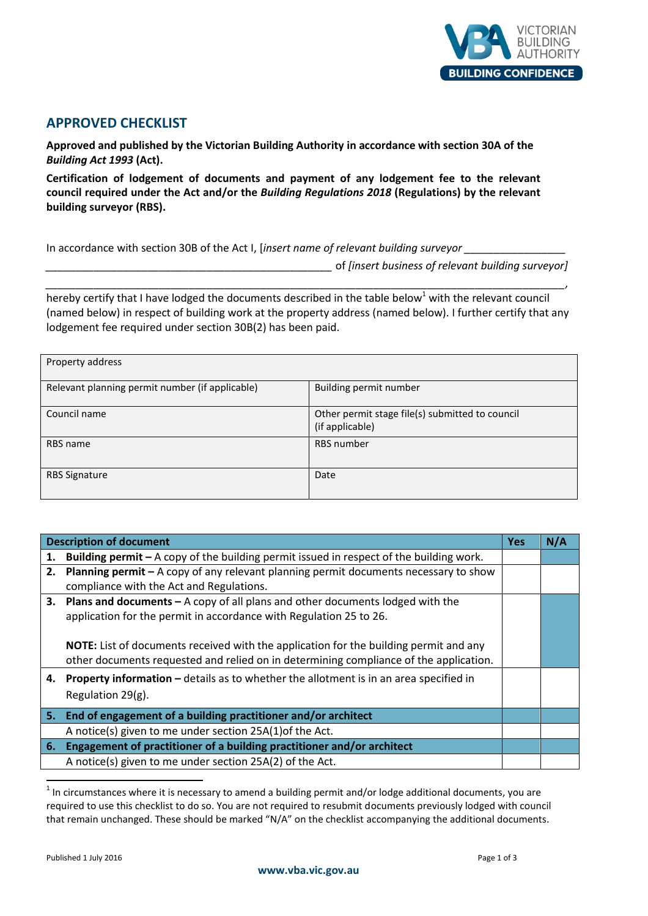

## **APPROVED CHECKLIST**

**Approved and published by the Victorian Building Authority in accordance with section 30A of the**  *Building Act 1993* **(Act).** 

**Certification of lodgement of documents and payment of any lodgement fee to the relevant council required under the Act and/or the** *Building Regulations 2018* **(Regulations) by the relevant building surveyor (RBS).** 

In accordance with section 30B of the Act I, [insert name of relevant building surveyor

*\_\_\_\_\_\_\_\_\_\_\_\_\_\_\_\_\_\_\_\_\_\_\_\_\_\_\_\_\_\_\_\_\_\_\_\_\_\_\_\_\_\_\_\_\_\_\_\_* of *[insert business of relevant building surveyor]* 

hereby certify that I have lodged the documents described in the table below<sup>1</sup> with the relevant council (named below) in respect of building work at the property address (named below). I further certify that any lodgement fee required under section 30B(2) has been paid.

*\_\_\_\_\_\_\_\_\_\_\_\_\_\_\_\_\_\_\_\_\_\_\_\_\_\_\_\_\_\_\_\_\_\_\_\_\_\_\_\_\_\_\_\_\_\_\_\_\_\_\_\_\_\_\_\_\_\_\_\_\_\_\_\_\_\_\_\_\_\_\_\_\_\_\_\_\_\_\_\_\_\_\_\_\_\_\_,* 

| Property address                                |                                                                    |  |  |  |
|-------------------------------------------------|--------------------------------------------------------------------|--|--|--|
| Relevant planning permit number (if applicable) | Building permit number                                             |  |  |  |
| Council name                                    | Other permit stage file(s) submitted to council<br>(if applicable) |  |  |  |
| RBS name                                        | <b>RBS</b> number                                                  |  |  |  |
| <b>RBS Signature</b>                            | Date                                                               |  |  |  |

| <b>Description of document</b> |                                                                                                | <b>Yes</b> | N/A |
|--------------------------------|------------------------------------------------------------------------------------------------|------------|-----|
| 1.                             | <b>Building permit</b> – A copy of the building permit issued in respect of the building work. |            |     |
|                                | 2. Planning permit – A copy of any relevant planning permit documents necessary to show        |            |     |
|                                | compliance with the Act and Regulations.                                                       |            |     |
| 3.                             | <b>Plans and documents - A copy of all plans and other documents lodged with the</b>           |            |     |
|                                | application for the permit in accordance with Regulation 25 to 26.                             |            |     |
|                                |                                                                                                |            |     |
|                                | <b>NOTE:</b> List of documents received with the application for the building permit and any   |            |     |
|                                | other documents requested and relied on in determining compliance of the application.          |            |     |
| 4.                             | <b>Property information - details as to whether the allotment is in an area specified in</b>   |            |     |
|                                | Regulation 29(g).                                                                              |            |     |
|                                |                                                                                                |            |     |
|                                | 5. End of engagement of a building practitioner and/or architect                               |            |     |
|                                | A notice(s) given to me under section 25A(1) of the Act.                                       |            |     |
| 6.                             | Engagement of practitioner of a building practitioner and/or architect                         |            |     |
|                                | A notice(s) given to me under section 25A(2) of the Act.                                       |            |     |

 $<sup>1</sup>$  In circumstances where it is necessary to amend a building permit and/or lodge additional documents, you are</sup> required to use this checklist to do so. You are not required to resubmit documents previously lodged with council that remain unchanged. These should be marked "N/A" on the checklist accompanying the additional documents.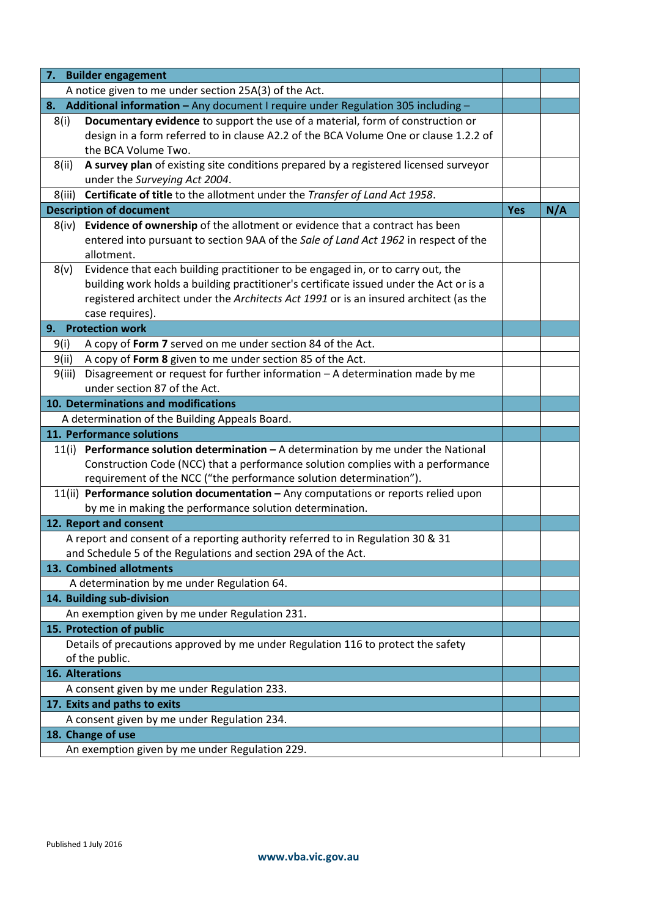| 7.                                                                                     | <b>Builder engagement</b>                                                              |     |     |
|----------------------------------------------------------------------------------------|----------------------------------------------------------------------------------------|-----|-----|
| A notice given to me under section 25A(3) of the Act.                                  |                                                                                        |     |     |
| Additional information - Any document I require under Regulation 305 including -<br>8. |                                                                                        |     |     |
| 8(i)                                                                                   | Documentary evidence to support the use of a material, form of construction or         |     |     |
|                                                                                        | design in a form referred to in clause A2.2 of the BCA Volume One or clause 1.2.2 of   |     |     |
|                                                                                        | the BCA Volume Two.                                                                    |     |     |
| 8(ii)                                                                                  | A survey plan of existing site conditions prepared by a registered licensed surveyor   |     |     |
|                                                                                        | under the Surveying Act 2004.                                                          |     |     |
| 8(iii)                                                                                 | Certificate of title to the allotment under the Transfer of Land Act 1958.             |     |     |
|                                                                                        | <b>Description of document</b>                                                         | Yes | N/A |
| 8(iv)                                                                                  | Evidence of ownership of the allotment or evidence that a contract has been            |     |     |
|                                                                                        | entered into pursuant to section 9AA of the Sale of Land Act 1962 in respect of the    |     |     |
|                                                                                        | allotment.                                                                             |     |     |
| 8(v)                                                                                   | Evidence that each building practitioner to be engaged in, or to carry out, the        |     |     |
|                                                                                        | building work holds a building practitioner's certificate issued under the Act or is a |     |     |
|                                                                                        | registered architect under the Architects Act 1991 or is an insured architect (as the  |     |     |
|                                                                                        | case requires).                                                                        |     |     |
| 9.                                                                                     | <b>Protection work</b>                                                                 |     |     |
| 9(i)                                                                                   | A copy of Form 7 served on me under section 84 of the Act.                             |     |     |
| 9(ii)                                                                                  | A copy of Form 8 given to me under section 85 of the Act.                              |     |     |
| 9(iii)                                                                                 | Disagreement or request for further information - A determination made by me           |     |     |
|                                                                                        | under section 87 of the Act.                                                           |     |     |
| 10. Determinations and modifications                                                   |                                                                                        |     |     |
|                                                                                        | A determination of the Building Appeals Board.                                         |     |     |
| 11. Performance solutions                                                              |                                                                                        |     |     |
| 11(i)                                                                                  | <b>Performance solution determination - A determination by me under the National</b>   |     |     |
|                                                                                        | Construction Code (NCC) that a performance solution complies with a performance        |     |     |
|                                                                                        | requirement of the NCC ("the performance solution determination").                     |     |     |
| 11(ii) Performance solution documentation - Any computations or reports relied upon    |                                                                                        |     |     |
| by me in making the performance solution determination.                                |                                                                                        |     |     |
|                                                                                        | 12. Report and consent                                                                 |     |     |
|                                                                                        | A report and consent of a reporting authority referred to in Regulation 30 & 31        |     |     |
|                                                                                        | and Schedule 5 of the Regulations and section 29A of the Act.                          |     |     |
|                                                                                        | 13. Combined allotments                                                                |     |     |
|                                                                                        | A determination by me under Regulation 64.                                             |     |     |
|                                                                                        | 14. Building sub-division                                                              |     |     |
|                                                                                        | An exemption given by me under Regulation 231.                                         |     |     |
|                                                                                        | 15. Protection of public                                                               |     |     |
|                                                                                        | Details of precautions approved by me under Regulation 116 to protect the safety       |     |     |
|                                                                                        | of the public.                                                                         |     |     |
| 16. Alterations                                                                        |                                                                                        |     |     |
|                                                                                        | A consent given by me under Regulation 233.                                            |     |     |
|                                                                                        | 17. Exits and paths to exits                                                           |     |     |
|                                                                                        | A consent given by me under Regulation 234.                                            |     |     |
|                                                                                        | 18. Change of use                                                                      |     |     |
|                                                                                        | An exemption given by me under Regulation 229.                                         |     |     |